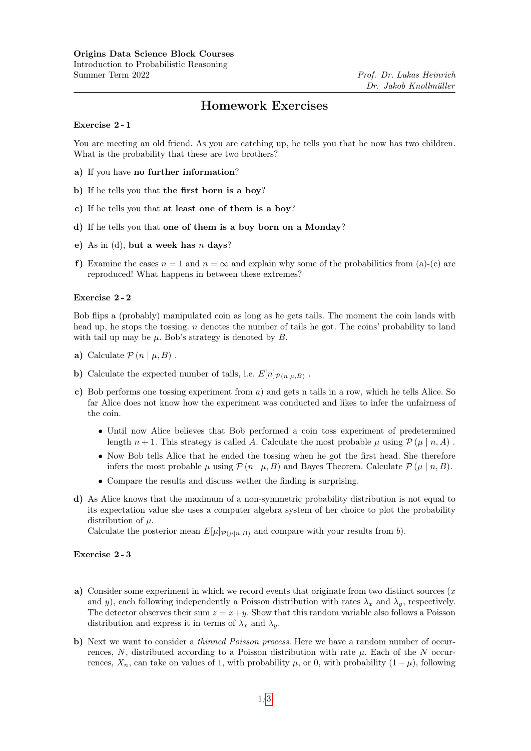# Homework Exercises

# Exercise 2 - 1

You are meeting an old friend. As you are catching up, he tells you that he now has two children. What is the probability that these are two brothers?

- a) If you have no further information?
- b) If he tells you that the first born is a boy?
- c) If he tells you that at least one of them is a boy?
- d) If he tells you that one of them is a boy born on a Monday?
- e) As in (d), but a week has  $n$  days?
- f) Examine the cases  $n = 1$  and  $n = \infty$  and explain why some of the probabilities from (a)-(c) are reproduced! What happens in between these extremes?

# Exercise 2 - 2

Bob flips a (probably) manipulated coin as long as he gets tails. The moment the coin lands with head up, he stops the tossing. *n* denotes the number of tails he got. The coins' probability to land with tail up may be  $\mu$ . Bob's strategy is denoted by  $B$ .

- a) Calculate  $\mathcal{P}(n | \mu, B)$ .
- **b**) Calculate the expected number of tails, i.e.  $E[n]_{\mathcal{P}(n|\mu,B)}$ .
- c) Bob performs one tossing experiment from a) and gets n tails in a row, which he tells Alice. So far Alice does not know how the experiment was conducted and likes to infer the unfairness of the coin.
	- Until now Alice believes that Bob performed a coin toss experiment of predetermined length  $n + 1$ . This strategy is called A. Calculate the most probable  $\mu$  using  $\mathcal{P}(\mu | n, A)$ .
	- Now Bob tells Alice that he ended the tossing when he got the first head. She therefore infers the most probable  $\mu$  using  $\mathcal{P}(n | \mu, B)$  and Bayes Theorem. Calculate  $\mathcal{P}(\mu | n, B)$ .
	- Compare the results and discuss wether the finding is surprising.
- d) As Alice knows that the maximum of a non-symmetric probability distribution is not equal to its expectation value she uses a computer algebra system of her choice to plot the probability distribution of  $\mu$ .

Calculate the posterior mean  $E[\mu]_{\mathcal{P}(\mu|n,B)}$  and compare with your results from b).

## Exercise 2 - 3

- a) Consider some experiment in which we record events that originate from two distinct sources  $(x x)$ and y), each following independently a Poisson distribution with rates  $\lambda_x$  and  $\lambda_y$ , respectively. The detector observes their sum  $z = x + y$ . Show that this random variable also follows a Poisson distribution and express it in terms of  $\lambda_x$  and  $\lambda_y$ .
- b) Next we want to consider a *thinned Poisson process*. Here we have a random number of occurrences, N, distributed according to a Poisson distribution with rate  $\mu$ . Each of the N occurrences,  $X_n$ , can take on values of 1, with probability  $\mu$ , or 0, with probability  $(1 - \mu)$ , following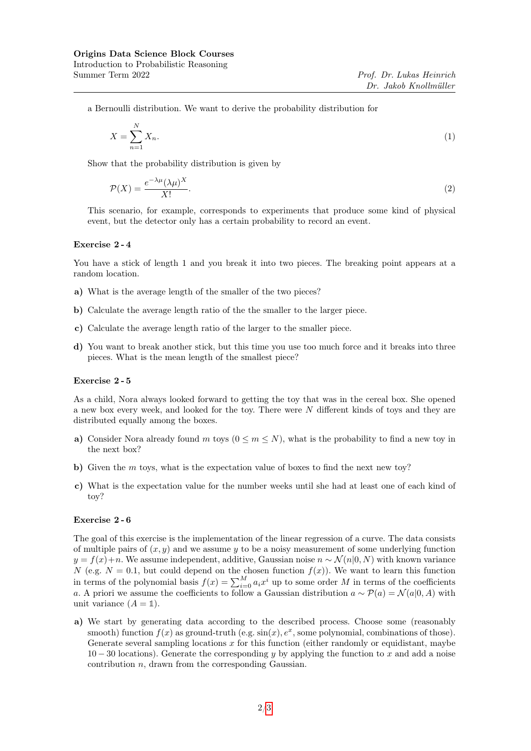a Bernoulli distribution. We want to derive the probability distribution for

$$
X = \sum_{n=1}^{N} X_n.
$$
\n<sup>(1)</sup>

Show that the probability distribution is given by

$$
\mathcal{P}(X) = \frac{e^{-\lambda \mu} (\lambda \mu)^X}{X!}.
$$
\n<sup>(2)</sup>

This scenario, for example, corresponds to experiments that produce some kind of physical event, but the detector only has a certain probability to record an event.

### Exercise 2 - 4

You have a stick of length 1 and you break it into two pieces. The breaking point appears at a random location.

- a) What is the average length of the smaller of the two pieces?
- b) Calculate the average length ratio of the the smaller to the larger piece.
- c) Calculate the average length ratio of the larger to the smaller piece.
- d) You want to break another stick, but this time you use too much force and it breaks into three pieces. What is the mean length of the smallest piece?

#### Exercise 2 - 5

As a child, Nora always looked forward to getting the toy that was in the cereal box. She opened a new box every week, and looked for the toy. There were N different kinds of toys and they are distributed equally among the boxes.

- a) Consider Nora already found m toys  $(0 \le m \le N)$ , what is the probability to find a new toy in the next box?
- b) Given the m toys, what is the expectation value of boxes to find the next new toy?
- c) What is the expectation value for the number weeks until she had at least one of each kind of toy?

#### Exercise 2 - 6

The goal of this exercise is the implementation of the linear regression of a curve. The data consists of multiple pairs of  $(x, y)$  and we assume y to be a noisy measurement of some underlying function  $y = f(x) + n$ . We assume independent, additive, Gaussian noise  $n \sim \mathcal{N}(n|0, N)$  with known variance N (e.g.  $N = 0.1$ , but could depend on the chosen function  $f(x)$ ). We want to learn this function in terms of the polynomial basis  $f(x) = \sum_{i=0}^{M} a_i x^i$  up to some order M in terms of the coefficients a. A priori we assume the coefficients to follow a Gaussian distribution  $a \sim \mathcal{P}(a) = \mathcal{N}(a|0, A)$  with unit variance  $(A = 1)$ .

a) We start by generating data according to the described process. Choose some (reasonably smooth) function  $f(x)$  as ground-truth (e.g.  $\sin(x)$ ,  $e^x$ , some polynomial, combinations of those). Generate several sampling locations  $x$  for this function (either randomly or equidistant, maybe  $10 - 30$  locations). Generate the corresponding y by applying the function to x and add a noise contribution n, drawn from the corresponding Gaussian.